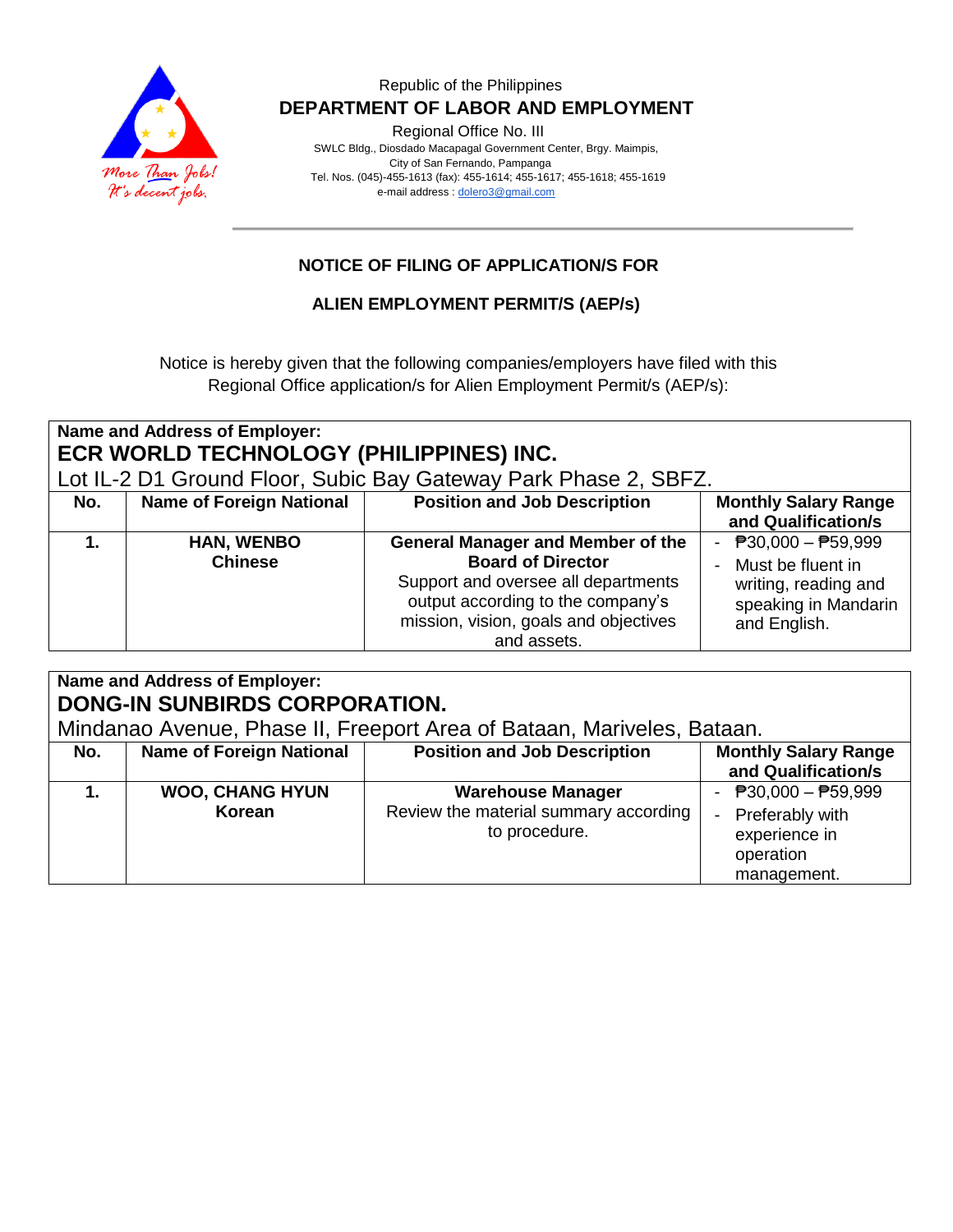

#### Republic of the Philippines  **DEPARTMENT OF LABOR AND EMPLOYMENT**

Regional Office No. III

 SWLC Bldg., Diosdado Macapagal Government Center, Brgy. Maimpis, City of San Fernando, Pampanga Tel. Nos. (045)-455-1613 (fax): 455-1614; 455-1617; 455-1618; 455-1619 e-mail address [: dolero3@gmail.com](mailto:dolero3@gmail.com)

## **NOTICE OF FILING OF APPLICATION/S FOR**

### **ALIEN EMPLOYMENT PERMIT/S (AEP/s)**

Notice is hereby given that the following companies/employers have filed with this Regional Office application/s for Alien Employment Permit/s (AEP/s):

| Name and Address of Employer:<br>ECR WORLD TECHNOLOGY (PHILIPPINES) INC.<br>Lot IL-2 D1 Ground Floor, Subic Bay Gateway Park Phase 2, SBFZ. |                                     |                                                                                                                                                                                                          |                                                                                                              |
|---------------------------------------------------------------------------------------------------------------------------------------------|-------------------------------------|----------------------------------------------------------------------------------------------------------------------------------------------------------------------------------------------------------|--------------------------------------------------------------------------------------------------------------|
| No.                                                                                                                                         | <b>Name of Foreign National</b>     | <b>Position and Job Description</b>                                                                                                                                                                      | <b>Monthly Salary Range</b><br>and Qualification/s                                                           |
| 1.                                                                                                                                          | <b>HAN, WENBO</b><br><b>Chinese</b> | <b>General Manager and Member of the</b><br><b>Board of Director</b><br>Support and oversee all departments<br>output according to the company's<br>mission, vision, goals and objectives<br>and assets. | - $P30,000 - P59,999$<br>- Must be fluent in<br>writing, reading and<br>speaking in Mandarin<br>and English. |

## **Name and Address of Employer: DONG-IN SUNBIRDS CORPORATION.**

Mindanao Avenue, Phase II, Freeport Area of Bataan, Mariveles, Bataan.

| No. | <b>Name of Foreign National</b>  | <b>Position and Job Description</b>                                                | <b>Monthly Salary Range</b><br>and Qualification/s                                      |
|-----|----------------------------------|------------------------------------------------------------------------------------|-----------------------------------------------------------------------------------------|
|     | <b>WOO, CHANG HYUN</b><br>Korean | <b>Warehouse Manager</b><br>Review the material summary according<br>to procedure. | - $P30,000 - P59,999$<br>- Preferably with<br>experience in<br>operation<br>management. |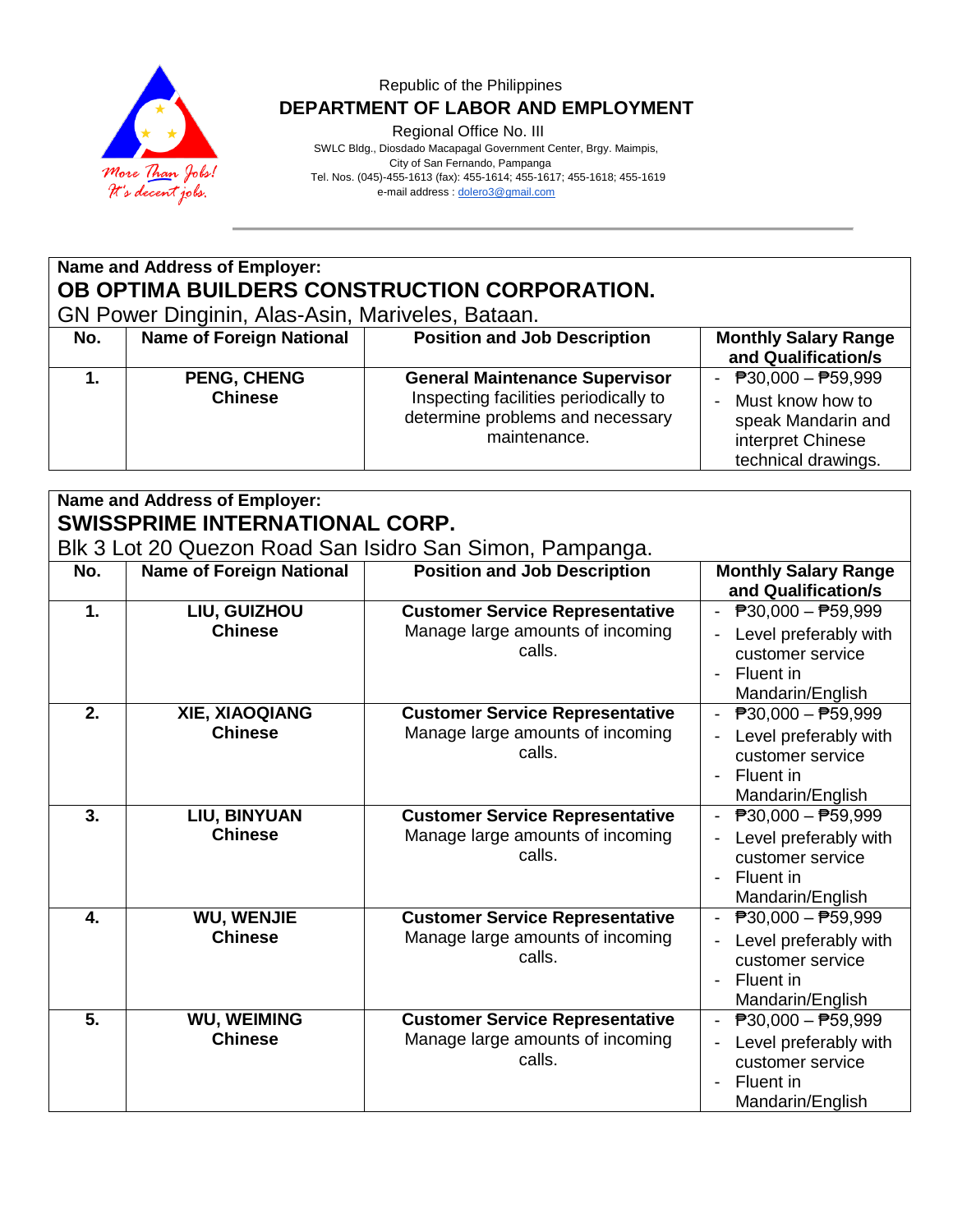

#### Republic of the Philippines  **DEPARTMENT OF LABOR AND EMPLOYMENT**

Regional Office No. III

 SWLC Bldg., Diosdado Macapagal Government Center, Brgy. Maimpis, City of San Fernando, Pampanga Tel. Nos. (045)-455-1613 (fax): 455-1614; 455-1617; 455-1618; 455-1619 e-mail address [: dolero3@gmail.com](mailto:dolero3@gmail.com)

# **Name and Address of Employer: OB OPTIMA BUILDERS CONSTRUCTION CORPORATION.**

GN Power Dinginin, Alas-Asin, Mariveles, Bataan.

| No. | <b>Name of Foreign National</b>      | <b>Position and Job Description</b>                                                                                                | <b>Monthly Salary Range</b><br>and Qualification/s                                                          |
|-----|--------------------------------------|------------------------------------------------------------------------------------------------------------------------------------|-------------------------------------------------------------------------------------------------------------|
|     | <b>PENG, CHENG</b><br><b>Chinese</b> | <b>General Maintenance Supervisor</b><br>Inspecting facilities periodically to<br>determine problems and necessary<br>maintenance. | - $P30,000 - P59,999$<br>Must know how to<br>speak Mandarin and<br>interpret Chinese<br>technical drawings. |

## **Name and Address of Employer: SWISSPRIME INTERNATIONAL CORP.**

Blk 3 Lot 20 Quezon Road San Isidro San Simon, Pampanga.

| No. | <b>Name of Foreign National</b> | <b>Position and Job Description</b>        | <b>Monthly Salary Range</b>                                                |
|-----|---------------------------------|--------------------------------------------|----------------------------------------------------------------------------|
|     |                                 |                                            | and Qualification/s                                                        |
| 1.  | LIU, GUIZHOU                    | <b>Customer Service Representative</b>     | - $P30,000 - P59,999$                                                      |
|     | <b>Chinese</b>                  | Manage large amounts of incoming<br>calls. | Level preferably with<br>customer service<br>Fluent in<br>Mandarin/English |
| 2.  | <b>XIE, XIAOQIANG</b>           | <b>Customer Service Representative</b>     | $\overline{P}30,000 - \overline{P}59,999$                                  |
|     | <b>Chinese</b>                  | Manage large amounts of incoming<br>calls. | Level preferably with<br>customer service<br>Fluent in<br>Mandarin/English |
| 3.  | LIU, BINYUAN                    | <b>Customer Service Representative</b>     | $\overline{P}30,000 - \overline{P}59,999$                                  |
|     | <b>Chinese</b>                  | Manage large amounts of incoming<br>calls. | Level preferably with<br>customer service<br>Fluent in<br>Mandarin/English |
| 4.  | <b>WU, WENJIE</b>               | <b>Customer Service Representative</b>     | $\overline{P}30,000 - \overline{P}59,999$                                  |
|     | <b>Chinese</b>                  | Manage large amounts of incoming<br>calls. | Level preferably with<br>customer service<br>Fluent in<br>Mandarin/English |
| 5.  | <b>WU, WEIMING</b>              | <b>Customer Service Representative</b>     | $\overline{P}30,000 - P59,999$                                             |
|     | <b>Chinese</b>                  | Manage large amounts of incoming<br>calls. | Level preferably with<br>customer service<br>Fluent in<br>Mandarin/English |